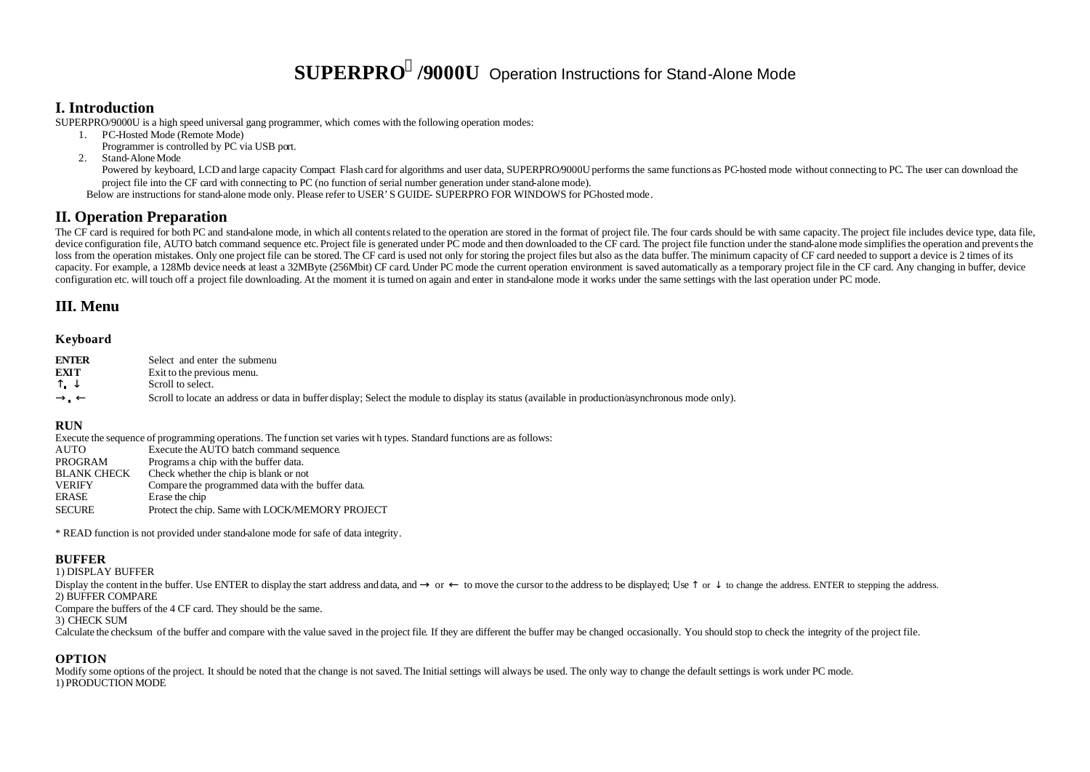# **SUPERPRO<sup>â</sup> /9000U** Operation Instructions for Stand-Alone Mode

## **I. Introduction**

SUPERPRO/9000U is a high speed universal gang programmer, which comes with the following operation modes:

1. PC-Hosted Mode (Remote Mode)

Programmer is controlled by PC via USB port.

2. Stand-Alone Mode

Powered by keyboard, LCD and large capacity Compact Flash card for algorithms and user data, SUPERPRO/9000U performs the same functions as PC-hosted mode without connecting to PC. The user can download the project file into the CF card with connecting to PC (no function of serial number generation under stand-alone mode).

Below are instructions for stand-alone mode only. Please refer to USER'S GUIDE- SUPERPRO FOR WINDOWS for PC-hosted mode.

# **II. Operation Preparation**

The CF card is required for both PC and stand-alone mode, in which all contents related to the operation are stored in the format of project file. The four cards should be with same capacity. The project file includes devi device configuration file. AUTO batch command sequence etc. Project file is generated under PC mode and then downloaded to the CF card. The project file function under the stand-alone mode simplifies the operation and prev loss from the operation mistakes. Only one project file can be stored. The CF card is used not only for storing the project files but also as the data buffer. The minimum capacity of CF card needed to support a device is 2 capacity. For example, a 128Mb device needs at least a 32MByte (256Mbit) CF card. Under PC mode the current operation environment is saved automatically as a temporary project file in the CF card. Any changing in buffer, d configuration etc. will touch off a project file downloading. At the moment it is turned on again and enter in stand-alone mode it works under the same settings with the last operation under PC mode.

# **III. Menu**

#### **Keyboard**

| <b>ENTER</b>                     | Select and enter the submenu                                                                                                                     |
|----------------------------------|--------------------------------------------------------------------------------------------------------------------------------------------------|
| EXIT                             | Exit to the previous menu.                                                                                                                       |
| $\overline{\phantom{0}}$<br>$ -$ | Scroll to select.                                                                                                                                |
| $\circledR$ . $\neg$             | Scroll to locate an address or data in buffer display; Select the module to display its status (available in production/asynchronous mode only). |

#### **RUN**

Execute the sequence of programming operations. The function set varies wit h types. Standard functions are as follows:

AUTO Execute the AUTO batch command sequence.

PROGRAM Programs a chip with the buffer data.<br>BLANK CHECK Check whether the chip is blank or no

- BLANK CHECK Check whether the chip is blank or not<br>VERIFY Compare the programmed data with the
- VERIFY Compare the programmed data with the buffer data. Erase the chip
- SECURE Protect the chip. Same with LOCK/MEMORY PROJECT

\* READ function is not provided under stand-alone mode for safe of data integrity.

#### **BUFFER**

1) DISPLAY BUFFER

Display the content in the buffer. Use ENTER to display the start address and data, and  $\circledast$  or  $\rightarrow$  to move the cursor to the address to be displayed; Use  $\uparrow$  or  $\downarrow$  to change the address. ENTER to stepping the add 2) BUFFER COMPARE

Compare the buffers of the 4 CF card. They should be the same.

3) CHECK SUM

Calculate the checksum of the buffer and compare with the value saved in the project file. If they are different the buffer may be changed occasionally. You should stop to check the integrity of the project file.

#### **OPTION**

Modify some options of the project. It should be noted that the change is not saved. The Initial settings will always be used. The only way to change the default settings is work under PC mode. 1) PRODUCTION MODE